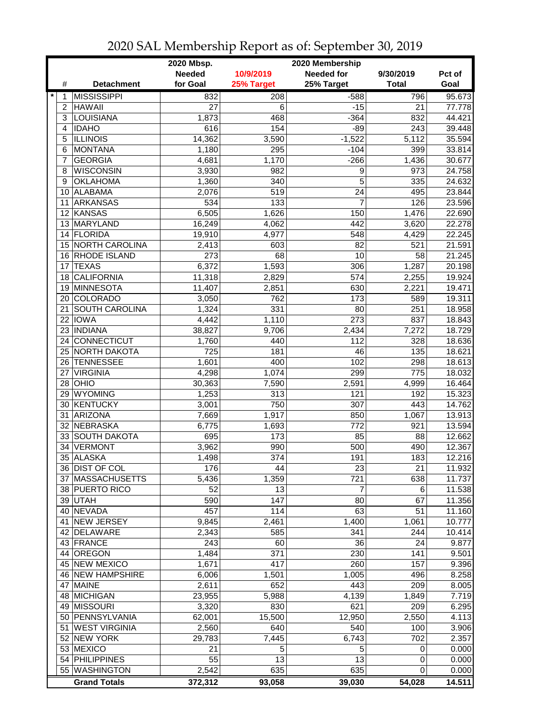|             |                       | 2020 Mbsp.    |            | 2020 Membership   |              |        |
|-------------|-----------------------|---------------|------------|-------------------|--------------|--------|
|             |                       | <b>Needed</b> | 10/9/2019  | <b>Needed for</b> | 9/30/2019    | Pct of |
| #           | <b>Detachment</b>     | for Goal      | 25% Target | 25% Target        | <b>Total</b> | Goal   |
| $\ast$<br>1 | <b>MISSISSIPPI</b>    | 832           | 208        | $-588$            | 796          | 95.673 |
| 2           | <b>HAWAII</b>         | 27            | 6          | $-15$             | 21           | 77.778 |
| 3           | <b>LOUISIANA</b>      | 1,873         | 468        | $-364$            | 832          | 44.421 |
| 4           | <b>IDAHO</b>          | 616           | 154        | $-89$             | 243          | 39.448 |
| 5           | <b>ILLINOIS</b>       | 14,362        | 3,590      | $-1,522$          | 5,112        | 35.594 |
| 6           | <b>MONTANA</b>        | 1,180         | 295        | $-104$            | 399          | 33.814 |
| 7           | <b>GEORGIA</b>        | 4,681         | 1,170      | $-266$            | 1,436        | 30.677 |
| 8           | <b>WISCONSIN</b>      | 3,930         | 982        | 9                 | 973          | 24.758 |
| 9           | <b>OKLAHOMA</b>       | 1,360         | 340        | 5                 | 335          | 24.632 |
|             | 10 ALABAMA            | 2,076         | 519        | 24                | 495          | 23.844 |
| 11          | ARKANSAS              | 534           | 133        | $\overline{7}$    | 126          | 23.596 |
|             | 12 KANSAS             | 6,505         | 1,626      | 150               | 1,476        | 22.690 |
|             | 13 MARYLAND           | 16,249        | 4,062      | 442               | 3,620        | 22.278 |
|             | 14 FLORIDA            | 19,910        | 4,977      | 548               | 4,429        | 22.245 |
|             | 15 NORTH CAROLINA     | 2,413         | 603        | 82                | 521          | 21.591 |
|             | 16 RHODE ISLAND       | 273           | 68         | 10                | 58           | 21.245 |
| 17          | <b>TEXAS</b>          | 6,372         | 1,593      | 306               | 1,287        | 20.198 |
| 18          | <b>CALIFORNIA</b>     | 11,318        | 2,829      | 574               | 2,255        | 19.924 |
| 19          | MINNESOTA             | 11,407        | 2,851      | 630               | 2,221        | 19.471 |
| 20          | <b>COLORADO</b>       | 3,050         | 762        | 173               | 589          | 19.311 |
| 21          | <b>SOUTH CAROLINA</b> | 1,324         | 331        | 80                | 251          | 18.958 |
| 22          | <b>IOWA</b>           | 4,442         | 1,110      | 273               | 837          | 18.843 |
| 23          | <b>INDIANA</b>        | 38,827        | 9,706      | 2,434             | 7,272        | 18.729 |
| 24          | <b>CONNECTICUT</b>    | 1,760         | 440        | 112               | 328          | 18.636 |
| 25          | <b>NORTH DAKOTA</b>   | 725           | 181        | 46                | 135          | 18.621 |
|             | 26 TENNESSEE          | 1,601         | 400        | 102               | 298          | 18.613 |
| 27          | <b>VIRGINIA</b>       | 4,298         | 1,074      | 299               | 775          | 18.032 |
|             | $28$ OHIO             | 30,363        | 7,590      | 2,591             | 4,999        | 16.464 |
|             | 29 WYOMING            | 1,253         | 313        | 121               | 192          | 15.323 |
|             | 30 KENTUCKY           | 3,001         | 750        | 307               | 443          | 14.762 |
| 31          | <b>ARIZONA</b>        | 7,669         | 1,917      | 850               | 1,067        | 13.913 |
| 32          | NEBRASKA              | 6,775         | 1,693      | 772               | 921          | 13.594 |
|             | 33 SOUTH DAKOTA       | 695           | 173        | 85                | 88           | 12.662 |
| 34          | <b>VERMONT</b>        | 3,962         | 990        | 500               | 490          | 12.367 |
|             | 35 ALASKA             | 1,498         | 374        | 191               | 183          | 12.216 |
|             | 36 DIST OF COL        | 176           | 44         | 23                | 21           | 11.932 |
|             | 37 MASSACHUSETTS      | 5,436         | 1,359      | 721               | 638          | 11.737 |
|             | 38 PUERTO RICO        | 52            | 13         | 7                 | 6            | 11.538 |
|             | 39 UTAH               | 590           | 147        | 80                | 67           | 11.356 |
|             | 40 NEVADA             | 457           | 114        | 63                | 51           | 11.160 |
| 41          | NEW JERSEY            | 9,845         | 2,461      | 1,400             | 1,061        | 10.777 |
|             | 42 DELAWARE           | 2,343         | 585        | 341               | 244          | 10.414 |
|             | 43 FRANCE             | 243           | 60         | 36                | 24           | 9.877  |
|             | 44 OREGON             | 1,484         | 371        | 230               | 141          | 9.501  |
|             | 45 NEW MEXICO         | 1,671         | 417        | 260               | 157          | 9.396  |
|             | 46 NEW HAMPSHIRE      | 6,006         | 1,501      | 1,005             | 496          | 8.258  |
|             | 47 MAINE              | 2,611         | 652        | 443               | 209          | 8.005  |
|             | 48 MICHIGAN           | 23,955        | 5,988      | 4,139             | 1,849        | 7.719  |
|             | 49 MISSOURI           | 3,320         | 830        | 621               | 209          | 6.295  |
|             | 50 PENNSYLVANIA       | 62,001        | 15,500     | 12,950            | 2,550        | 4.113  |
| 51          | <b>WEST VIRGINIA</b>  | 2,560         | 640        | 540               | 100          | 3.906  |
|             | 52 NEW YORK           | 29,783        | 7,445      | 6,743             | 702          | 2.357  |
|             | 53 MEXICO             | 21            | 5          | 5                 | 0            | 0.000  |
|             | 54 PHILIPPINES        | 55            | 13         | 13                | 0            | 0.000  |
|             | 55 WASHINGTON         | 2,542         | 635        | 635               | 0            | 0.000  |
|             | <b>Grand Totals</b>   | 372,312       | 93,058     | 39,030            | 54,028       | 14.511 |

2020 SAL Membership Report as of: September 30, 2019